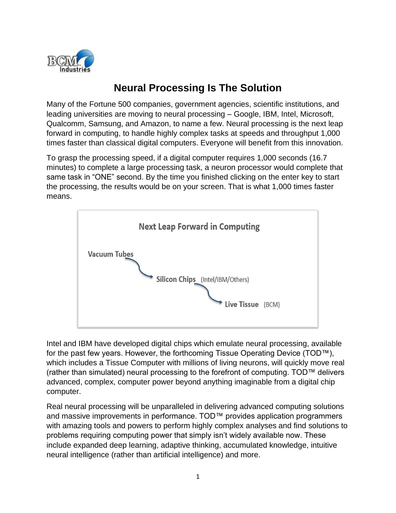

## **Neural Processing Is The Solution**

Many of the Fortune 500 companies, government agencies, scientific institutions, and leading universities are moving to neural processing – Google, IBM, Intel, Microsoft, Qualcomm, Samsung, and Amazon, to name a few. Neural processing is the next leap forward in computing, to handle highly complex tasks at speeds and throughput 1,000 times faster than classical digital computers. Everyone will benefit from this innovation.

To grasp the processing speed, if a digital computer requires 1,000 seconds (16.7 minutes) to complete a large processing task, a neuron processor would complete that same task in "ONE" second. By the time you finished clicking on the enter key to start the processing, the results would be on your screen. That is what 1,000 times faster means.



Intel and IBM have developed digital chips which emulate neural processing, available for the past few years. However, the forthcoming Tissue Operating Device (TOD™), which includes a Tissue Computer with millions of living neurons, will quickly move real (rather than simulated) neural processing to the forefront of computing. TOD™ delivers advanced, complex, computer power beyond anything imaginable from a digital chip computer.

Real neural processing will be unparalleled in delivering advanced computing solutions and massive improvements in performance. TOD™ provides application programmers with amazing tools and powers to perform highly complex analyses and find solutions to problems requiring computing power that simply isn't widely available now. These include expanded deep learning, adaptive thinking, accumulated knowledge, intuitive neural intelligence (rather than artificial intelligence) and more.